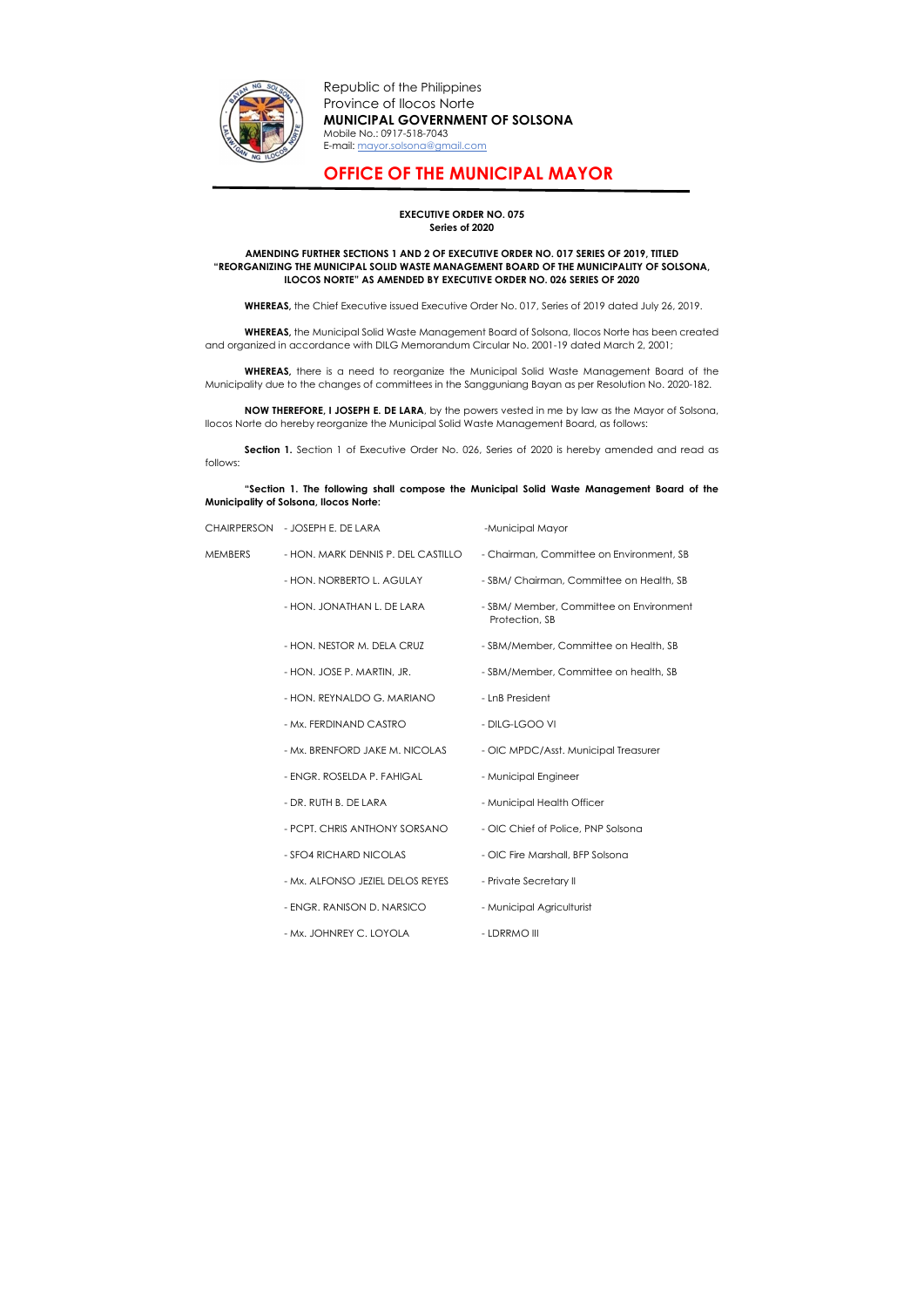

Republic of the Philippines Province of Ilocos Norte MUNICIPAL GOVERNMENT OF SOLSONA Mobile No.: 0917-518-7043 E-mail: mayor.solsona@gmail.com

## OFFICE OF THE MUNICIPAL MAYOR

## EXECUTIVE ORDER NO. 075 Series of 2020

## AMENDING FURTHER SECTIONS 1 AND 2 OF EXECUTIVE ORDER NO. 017 SERIES OF 2019, TITLED "REORGANIZING THE MUNICIPAL SOLID WASTE MANAGEMENT BOARD OF THE MUNICIPALITY OF SOLSONA, ILOCOS NORTE" AS AMENDED BY EXECUTIVE ORDER NO. 026 SERIES OF 2020

WHEREAS, the Chief Executive issued Executive Order No. 017, Series of 2019 dated July 26, 2019.

Section 1. Section 1 of Executive Order No. 026, Series of 2020 is hereby amended and read as follows:

WHEREAS, the Municipal Solid Waste Management Board of Solsona, Ilocos Norte has been created and organized in accordance with DILG Memorandum Circular No. 2001-19 dated March 2, 2001;

WHEREAS, there is a need to reorganize the Municipal Solid Waste Management Board of the Municipality due to the changes of committees in the Sangguniang Bayan as per Resolution No. 2020-182.

NOW THEREFORE, I JOSEPH E. DE LARA, by the powers vested in me by law as the Mayor of Solsona, Ilocos Norte do hereby reorganize the Municipal Solid Waste Management Board, as follows:

"Section 1. The following shall compose the Municipal Solid Waste Management Board of the Municipality of Solsona, Ilocos Norte:

|                | CHAIRPERSON - JOSEPH E. DE LARA    | -Municipal Mayor                                          |  |
|----------------|------------------------------------|-----------------------------------------------------------|--|
| <b>MEMBERS</b> | - HON, MARK DENNIS P. DEL CASTILLO | - Chairman, Committee on Environment, SB                  |  |
|                | - HON. NORBERTO L. AGULAY          | - SBM/ Chairman, Committee on Health, SB                  |  |
|                | - HON. JONATHAN L. DE LARA         | - SBM/ Member, Committee on Environment<br>Protection, SB |  |
|                | - HON. NESTOR M. DELA CRUZ         | - SBM/Member, Committee on Health, SB                     |  |
|                | - HON. JOSE P. MARTIN, JR.         | - SBM/Member, Committee on health, SB                     |  |
|                | - HON. REYNALDO G. MARIANO         | - LnB President                                           |  |
|                | - Mx. FERDINAND CASTRO             | - DILG-LGOO VI                                            |  |
|                | - Mx. BRENFORD JAKE M. NICOLAS     | - OIC MPDC/Asst. Municipal Treasurer                      |  |
|                | - ENGR. ROSELDA P. FAHIGAL         | - Municipal Engineer                                      |  |
|                | - DR. RUTH B. DE LARA              | - Municipal Health Officer                                |  |
|                | - PCPT. CHRIS ANTHONY SORSANO      | - OIC Chief of Police, PNP Solsona                        |  |
|                | - SFO4 RICHARD NICOLAS             | - OIC Fire Marshall, BFP Solsona                          |  |
|                | - Mx. ALFONSO JEZIEL DELOS REYES   | - Private Secretary II                                    |  |
|                |                                    |                                                           |  |

- ENGR. RANISON D. NARSICO Municipal Agriculturist
- Mx. JOHNREY C. LOYOLA LDRRMO III
- -